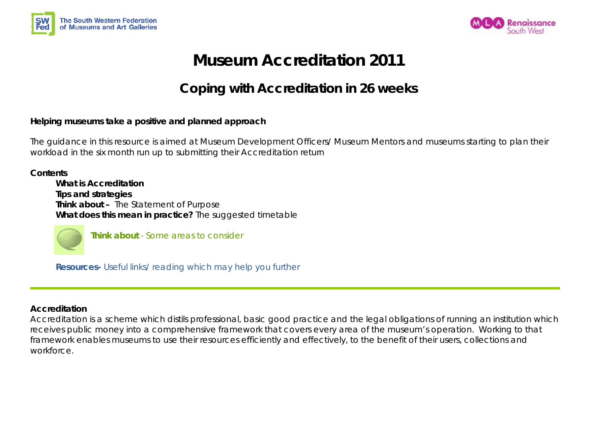



# **Museum Accreditation 2011**

## **Coping with Accreditation in 26 weeks**

#### **Helping museums take a positive and planned approach**

The guidance in this resource is aimed at Museum Development Officers/ Museum Mentors and museums starting to plan their workload in the six month run up to submitting their Accreditation return

**Contents What is Accreditation Tips and strategies Think about –** The Statement of Purpose **What does this mean in practice?** The suggested timetable



**Think about** - Some areas to consider

**Resources-** Useful links/ reading which may help you further

#### **Accreditation**

Accreditation is a scheme which distils professional, basic good practice and the legal obligations of running an institution which receives public money into a comprehensive framework that covers every area of the museum's operation. Working to that framework enables museums to use their resources efficiently and effectively, to the benefit of their users, collections and workforce.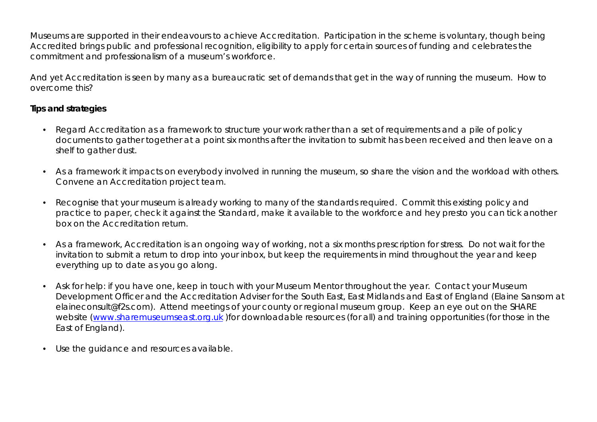Museums are supported in their endeavours to achieve Accreditation. Participation in the scheme is voluntary, though being Accredited brings public and professional recognition, eligibility to apply for certain sources of funding and celebrates the commitment and professionalism of a museum's workforce.

And yet Accreditation is seen by many as a bureaucratic set of demands that get in the way of running the museum. How to overcome this?

#### **Tips and strategies**

- Regard Accreditation as a framework to structure your work rather than a set of requirements and a pile of policy documents to gather together at a point six months after the invitation to submit has been received and then leave on a shelf to gather dust.
- As a framework it impacts on everybody involved in running the museum, so share the vision and the workload with others. Convene an Accreditation project team.
- Recognise that your museum is already working to many of the standards required. Commit this existing policy and practice to paper, check it against the Standard, make it available to the workforce and hey presto you can tick another box on the Accreditation return.
- As a framework, Accreditation is an ongoing way of working, not a six months prescription for stress. Do not wait for the invitation to submit a return to drop into your inbox, but keep the requirements in mind throughout the year and keep everything up to date as you go along.
- Ask for help: if you have one, keep in touch with your Museum Mentor throughout the year. Contact your Museum Development Officer and the Accreditation Adviser for the South East, East Midlands and East of England (Elaine Sansom at elaineconsult@f2s.com). Attend meetings of your county or regional museum group. Keep an eye out on the SHARE website (www.sharemuseumseast.org.uk )for downloadable resources (for all) and training opportunities (for those in the East of England).
- Use the guidance and resources available.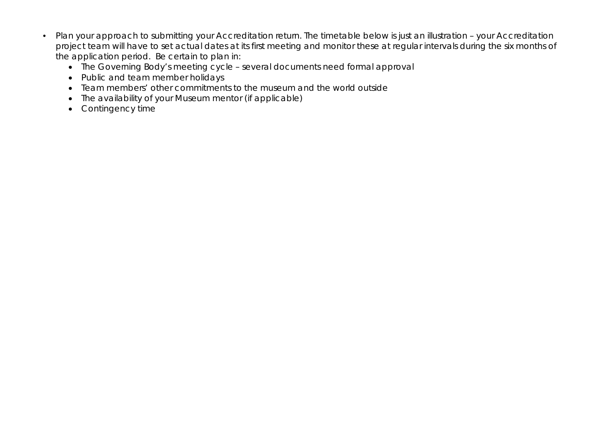- Plan your approach to submitting your Accreditation return. The timetable below is just an illustration your Accreditation project team will have to set actual dates at its first meeting and monitor these at regular intervals during the six months of the application period. Be certain to plan in:
	- The Governing Body's meeting cycle several documents need formal approval
	- Public and team member holidays
	- Team members' other commitments to the museum and the world outside
	- The availability of your Museum mentor (if applicable)
	- Contingency time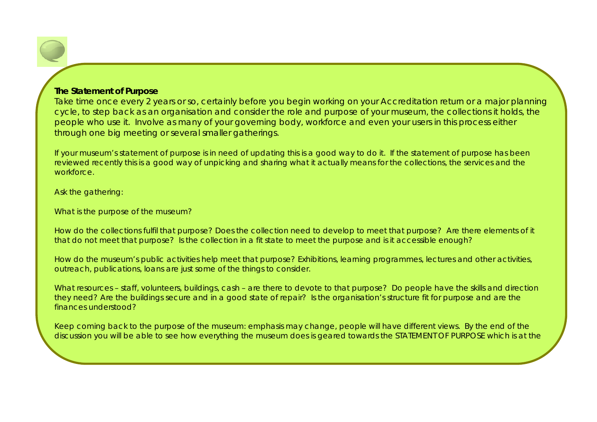#### **The Statement of Purpose**

Take time once every 2 years or so, certainly before you begin working on your Accreditation return or a major planning cycle, to step back as an organisation and consider the role and purpose of your museum, the collections it holds, the people who use it. Involve as many of your governing body, workforce and even your users in this process either through one big meeting or several smaller gatherings.

If your museum's statement of purpose is in need of updating this is a good way to do it. If the statement of purpose has been reviewed recently this is a good way of unpicking and sharing what it actually means for the collections, the services and the workforce.

Ask the gathering:

What is the purpose of the museum?

How do the collections fulfil that purpose? Does the collection need to develop to meet that purpose? Are there elements of it that do not meet that purpose? Is the collection in a fit state to meet the purpose and is it accessible enough?

How do the museum's public activities help meet that purpose? Exhibitions, learning programmes, lectures and other activities, outreach, publications, loans are just some of the things to consider.

What resources – staff, volunteers, buildings, cash – are there to devote to that purpose? Do people have the skills and direction they need? Are the buildings secure and in a good state of repair? Is the organisation's structure fit for purpose and are the finances understood?

Keep coming back to the purpose of the museum: emphasis may change, people will have different views. By the end of the discussion you will be able to see how everything the museum does is geared towards the STATEMENT OF PURPOSE which is at the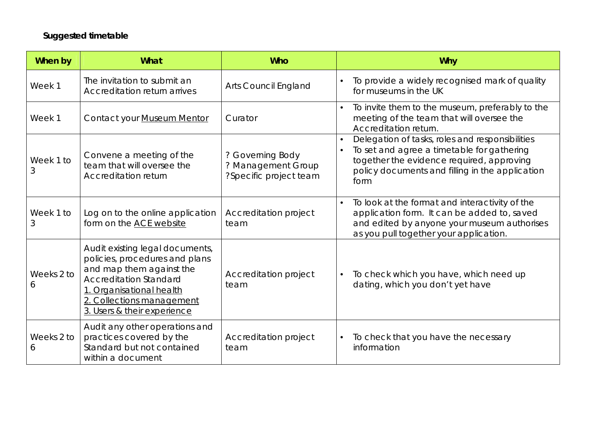## **Suggested timetable**

| When by         | <b>What</b>                                                                                                                                                                                                            | <b>Who</b>                                                       | <b>Why</b>                                                                                                                                                                                                         |
|-----------------|------------------------------------------------------------------------------------------------------------------------------------------------------------------------------------------------------------------------|------------------------------------------------------------------|--------------------------------------------------------------------------------------------------------------------------------------------------------------------------------------------------------------------|
| Week 1          | The invitation to submit an<br>Accreditation return arrives                                                                                                                                                            | <b>Arts Council England</b>                                      | To provide a widely recognised mark of quality<br>for museums in the UK                                                                                                                                            |
| Week 1          | Contact your Museum Mentor                                                                                                                                                                                             | Curator                                                          | To invite them to the museum, preferably to the<br>meeting of the team that will oversee the<br>Accreditation return.                                                                                              |
| Week 1 to<br>3  | Convene a meeting of the<br>team that will oversee the<br>Accreditation return                                                                                                                                         | ? Governing Body<br>? Management Group<br>?Specific project team | Delegation of tasks, roles and responsibilities<br>$\bullet$<br>To set and agree a timetable for gathering<br>together the evidence required, approving<br>policy documents and filling in the application<br>form |
| Week 1 to<br>3  | Log on to the online application<br>form on the ACE website                                                                                                                                                            | Accreditation project<br>team                                    | To look at the format and interactivity of the<br>application form. It can be added to, saved<br>and edited by anyone your museum authorises<br>as you pull together your application.                             |
| Weeks 2 to<br>6 | Audit existing legal documents,<br>policies, procedures and plans<br>and map them against the<br><b>Accreditation Standard</b><br>1. Organisational health<br>2. Collections management<br>3. Users & their experience | Accreditation project<br>team                                    | To check which you have, which need up<br>dating, which you don't yet have                                                                                                                                         |
| Weeks 2 to<br>6 | Audit any other operations and<br>practices covered by the<br>Standard but not contained<br>within a document                                                                                                          | Accreditation project<br>team                                    | To check that you have the necessary<br>information                                                                                                                                                                |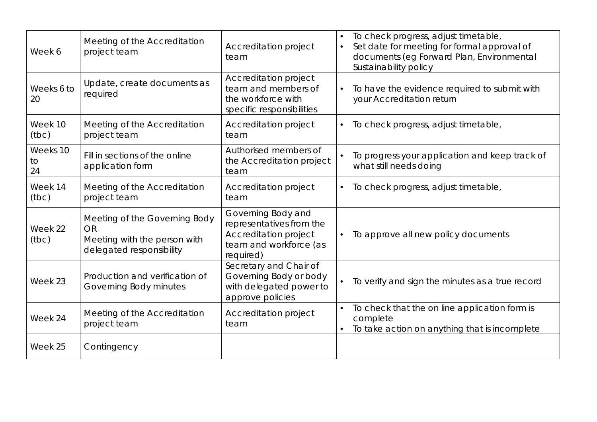| Week 6               | Meeting of the Accreditation<br>project team                                                           | Accreditation project<br>team                                                                                  | To check progress, adjust timetable,<br>Set date for meeting for formal approval of<br>documents (eg Forward Plan, Environmental<br>Sustainability policy |
|----------------------|--------------------------------------------------------------------------------------------------------|----------------------------------------------------------------------------------------------------------------|-----------------------------------------------------------------------------------------------------------------------------------------------------------|
| Weeks 6 to<br>20     | Update, create documents as<br>required                                                                | Accreditation project<br>team and members of<br>the workforce with<br>specific responsibilities                | To have the evidence required to submit with<br>your Accreditation return                                                                                 |
| Week 10<br>(tbc)     | Meeting of the Accreditation<br>project team                                                           | Accreditation project<br>team                                                                                  | To check progress, adjust timetable,                                                                                                                      |
| Weeks 10<br>to<br>24 | Fill in sections of the online<br>application form                                                     | Authorised members of<br>the Accreditation project<br>team                                                     | To progress your application and keep track of<br>what still needs doing                                                                                  |
| Week 14<br>(tbc)     | Meeting of the Accreditation<br>project team                                                           | Accreditation project<br>team                                                                                  | To check progress, adjust timetable,                                                                                                                      |
| Week 22<br>(tbc)     | Meeting of the Governing Body<br><b>OR</b><br>Meeting with the person with<br>delegated responsibility | Governing Body and<br>representatives from the<br>Accreditation project<br>team and workforce (as<br>required) | To approve all new policy documents                                                                                                                       |
| Week 23              | Production and verification of<br>Governing Body minutes                                               | Secretary and Chair of<br>Governing Body or body<br>with delegated power to<br>approve policies                | To verify and sign the minutes as a true record                                                                                                           |
| Week 24              | Meeting of the Accreditation<br>project team                                                           | Accreditation project<br>team                                                                                  | To check that the on line application form is<br>complete<br>To take action on anything that is incomplete                                                |
| Week 25              | Contingency                                                                                            |                                                                                                                |                                                                                                                                                           |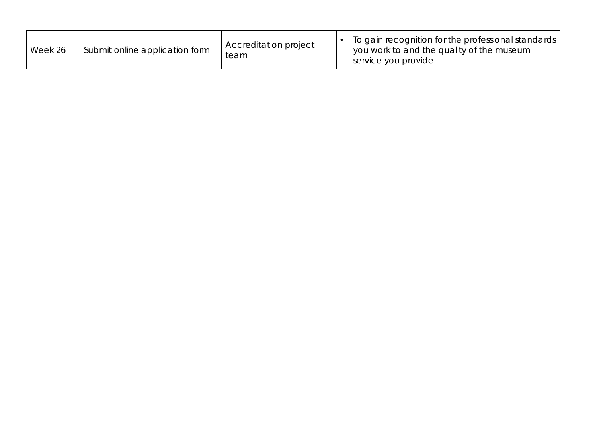| Week 26 | Submit online application form | Accreditation project<br>team | To gain recognition for the professional standards<br>you work to and the quality of the museum<br>service you provide |
|---------|--------------------------------|-------------------------------|------------------------------------------------------------------------------------------------------------------------|
|---------|--------------------------------|-------------------------------|------------------------------------------------------------------------------------------------------------------------|